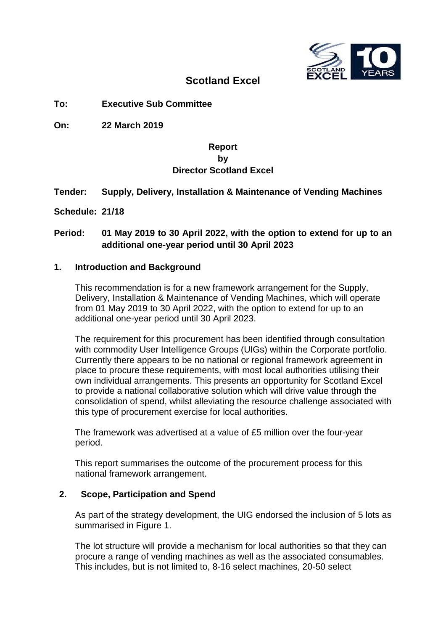

## **Scotland Excel**

**To: Executive Sub Committee**

**On: 22 March 2019**

## **Report by Director Scotland Excel**

## **Tender: Supply, Delivery, Installation & Maintenance of Vending Machines**

**Schedule: 21/18**

## **Period: 01 May 2019 to 30 April 2022, with the option to extend for up to an additional one-year period until 30 April 2023**

#### **1. Introduction and Background**

This recommendation is for a new framework arrangement for the Supply, Delivery, Installation & Maintenance of Vending Machines, which will operate from 01 May 2019 to 30 April 2022, with the option to extend for up to an additional one-year period until 30 April 2023.

The requirement for this procurement has been identified through consultation with commodity User Intelligence Groups (UIGs) within the Corporate portfolio. Currently there appears to be no national or regional framework agreement in place to procure these requirements, with most local authorities utilising their own individual arrangements. This presents an opportunity for Scotland Excel to provide a national collaborative solution which will drive value through the consolidation of spend, whilst alleviating the resource challenge associated with this type of procurement exercise for local authorities.

The framework was advertised at a value of £5 million over the four-year period.

This report summarises the outcome of the procurement process for this national framework arrangement.

#### **2. Scope, Participation and Spend**

As part of the strategy development, the UIG endorsed the inclusion of 5 lots as summarised in Figure 1.

The lot structure will provide a mechanism for local authorities so that they can procure a range of vending machines as well as the associated consumables. This includes, but is not limited to, 8-16 select machines, 20-50 select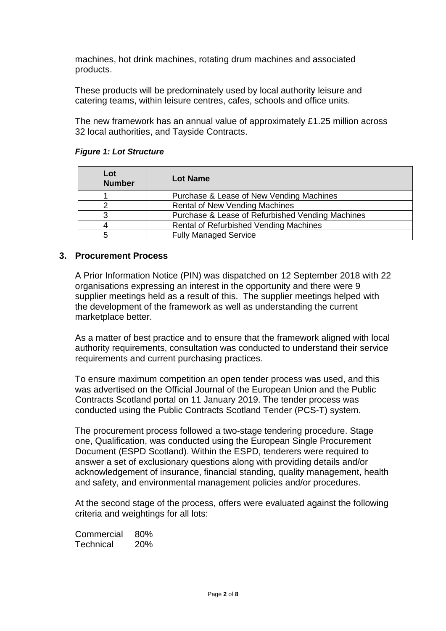machines, hot drink machines, rotating drum machines and associated products.

These products will be predominately used by local authority leisure and catering teams, within leisure centres, cafes, schools and office units.

The new framework has an annual value of approximately £1.25 million across 32 local authorities, and Tayside Contracts.

| Lot<br><b>Number</b> | Lot Name                                         |
|----------------------|--------------------------------------------------|
|                      | Purchase & Lease of New Vending Machines         |
|                      | <b>Rental of New Vending Machines</b>            |
| з                    | Purchase & Lease of Refurbished Vending Machines |
|                      | Rental of Refurbished Vending Machines           |
| 5                    | <b>Fully Managed Service</b>                     |

#### *Figure 1: Lot Structure*

#### **3. Procurement Process**

A Prior Information Notice (PIN) was dispatched on 12 September 2018 with 22 organisations expressing an interest in the opportunity and there were 9 supplier meetings held as a result of this. The supplier meetings helped with the development of the framework as well as understanding the current marketplace better.

As a matter of best practice and to ensure that the framework aligned with local authority requirements, consultation was conducted to understand their service requirements and current purchasing practices.

To ensure maximum competition an open tender process was used, and this was advertised on the Official Journal of the European Union and the Public Contracts Scotland portal on 11 January 2019. The tender process was conducted using the Public Contracts Scotland Tender (PCS-T) system.

The procurement process followed a two-stage tendering procedure. Stage one, Qualification, was conducted using the European Single Procurement Document (ESPD Scotland). Within the ESPD, tenderers were required to answer a set of exclusionary questions along with providing details and/or acknowledgement of insurance, financial standing, quality management, health and safety, and environmental management policies and/or procedures.

At the second stage of the process, offers were evaluated against the following criteria and weightings for all lots:

Commercial 80% Technical 20%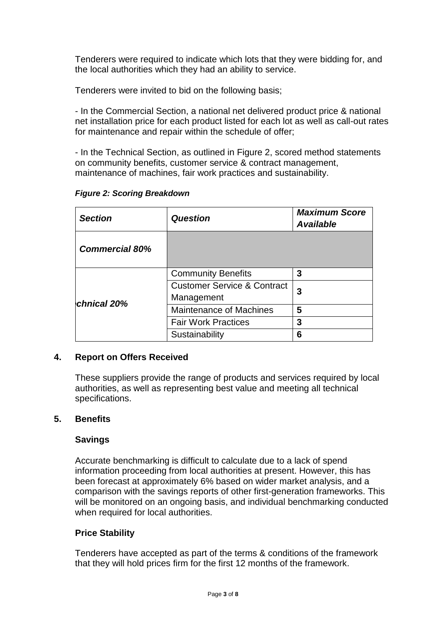Tenderers were required to indicate which lots that they were bidding for, and the local authorities which they had an ability to service.

Tenderers were invited to bid on the following basis;

- In the Commercial Section, a national net delivered product price & national net installation price for each product listed for each lot as well as call-out rates for maintenance and repair within the schedule of offer;

- In the Technical Section, as outlined in Figure 2, scored method statements on community benefits, customer service & contract management, maintenance of machines, fair work practices and sustainability.

| <b>Section</b>        | Question                               | <b>Maximum Score</b><br><b>Available</b> |  |
|-----------------------|----------------------------------------|------------------------------------------|--|
| <b>Commercial 80%</b> |                                        |                                          |  |
|                       | <b>Community Benefits</b>              | 3                                        |  |
|                       | <b>Customer Service &amp; Contract</b> | 3                                        |  |
| <b>chnical 20%</b>    | Management                             |                                          |  |
|                       | <b>Maintenance of Machines</b>         | 5                                        |  |
|                       | <b>Fair Work Practices</b>             | 3                                        |  |
|                       | Sustainability                         | 6                                        |  |

## *Figure 2: Scoring Breakdown*

## **4. Report on Offers Received**

These suppliers provide the range of products and services required by local authorities, as well as representing best value and meeting all technical specifications.

## **5. Benefits**

## **Savings**

Accurate benchmarking is difficult to calculate due to a lack of spend information proceeding from local authorities at present. However, this has been forecast at approximately 6% based on wider market analysis, and a comparison with the savings reports of other first-generation frameworks. This will be monitored on an ongoing basis, and individual benchmarking conducted when required for local authorities.

## **Price Stability**

Tenderers have accepted as part of the terms & conditions of the framework that they will hold prices firm for the first 12 months of the framework.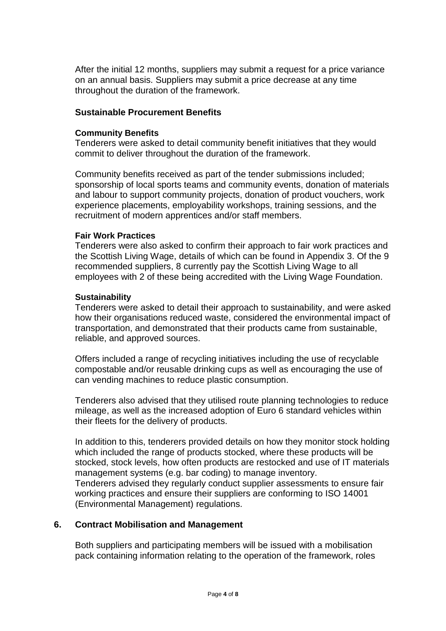After the initial 12 months, suppliers may submit a request for a price variance on an annual basis. Suppliers may submit a price decrease at any time throughout the duration of the framework.

## **Sustainable Procurement Benefits**

#### **Community Benefits**

Tenderers were asked to detail community benefit initiatives that they would commit to deliver throughout the duration of the framework.

Community benefits received as part of the tender submissions included; sponsorship of local sports teams and community events, donation of materials and labour to support community projects, donation of product vouchers, work experience placements, employability workshops, training sessions, and the recruitment of modern apprentices and/or staff members.

#### **Fair Work Practices**

Tenderers were also asked to confirm their approach to fair work practices and the Scottish Living Wage, details of which can be found in Appendix 3. Of the 9 recommended suppliers, 8 currently pay the Scottish Living Wage to all employees with 2 of these being accredited with the Living Wage Foundation.

#### **Sustainability**

Tenderers were asked to detail their approach to sustainability, and were asked how their organisations reduced waste, considered the environmental impact of transportation, and demonstrated that their products came from sustainable, reliable, and approved sources.

Offers included a range of recycling initiatives including the use of recyclable compostable and/or reusable drinking cups as well as encouraging the use of can vending machines to reduce plastic consumption.

Tenderers also advised that they utilised route planning technologies to reduce mileage, as well as the increased adoption of Euro 6 standard vehicles within their fleets for the delivery of products.

In addition to this, tenderers provided details on how they monitor stock holding which included the range of products stocked, where these products will be stocked, stock levels, how often products are restocked and use of IT materials management systems (e.g. bar coding) to manage inventory. Tenderers advised they regularly conduct supplier assessments to ensure fair

working practices and ensure their suppliers are conforming to ISO 14001 (Environmental Management) regulations.

#### **6. Contract Mobilisation and Management**

Both suppliers and participating members will be issued with a mobilisation pack containing information relating to the operation of the framework, roles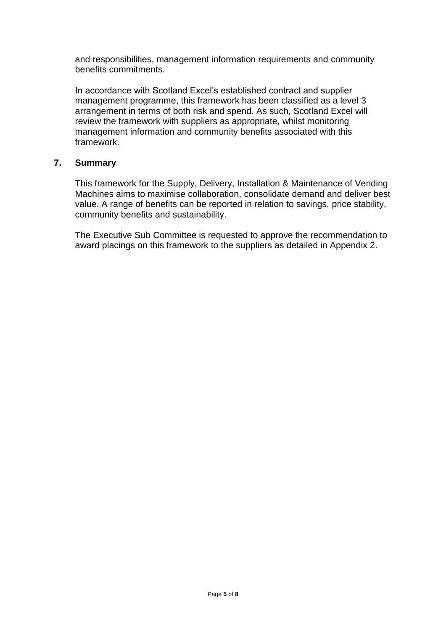and responsibilities, management information requirements and community benefits commitments.

In accordance with Scotland Excel's established contract and supplier management programme, this framework has been classified as a level 3 arrangement in terms of both risk and spend. As such, Scotland Excel will review the framework with suppliers as appropriate, whilst monitoring management information and community benefits associated with this framework.

## **7. Summary**

This framework for the Supply, Delivery, Installation & Maintenance of Vending Machines aims to maximise collaboration, consolidate demand and deliver best value. A range of benefits can be reported in relation to savings, price stability, community benefits and sustainability.

The Executive Sub Committee is requested to approve the recommendation to award placings on this framework to the suppliers as detailed in Appendix 2.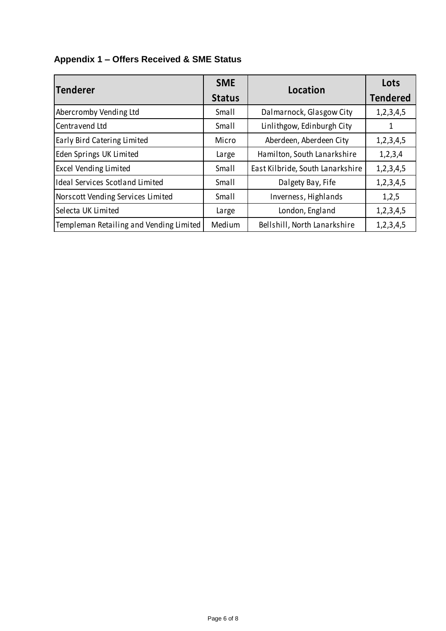# **Appendix 1 – Offers Received & SME Status**

| Tenderer                                | <b>SME</b><br><b>Status</b> | Location                         | Lots<br><b>Tendered</b> |
|-----------------------------------------|-----------------------------|----------------------------------|-------------------------|
| Abercromby Vending Ltd                  | Small                       | Dalmarnock, Glasgow City         | 1,2,3,4,5               |
| Centravend Ltd                          | Small                       | Linlithgow, Edinburgh City       | 1                       |
| Early Bird Catering Limited             | Micro                       | Aberdeen, Aberdeen City          | 1,2,3,4,5               |
| Eden Springs UK Limited                 | Large                       | Hamilton, South Lanarkshire      | 1,2,3,4                 |
| <b>Excel Vending Limited</b>            | Small                       | East Kilbride, South Lanarkshire | 1,2,3,4,5               |
| <b>Ideal Services Scotland Limited</b>  | Small                       | Dalgety Bay, Fife                | 1,2,3,4,5               |
| Norscott Vending Services Limited       | Small                       | Inverness, Highlands             | 1,2,5                   |
| Selecta UK Limited                      | Large                       | London, England                  | 1,2,3,4,5               |
| Templeman Retailing and Vending Limited | Medium                      | Bellshill, North Lanarkshire     | 1,2,3,4,5               |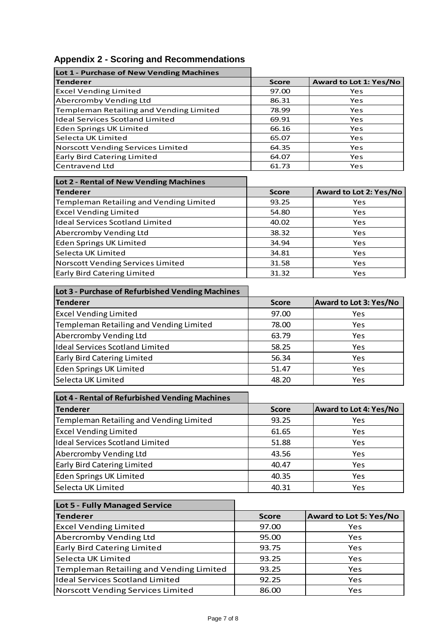|  |  | <b>Appendix 2 - Scoring and Recommendations</b> |  |
|--|--|-------------------------------------------------|--|
|--|--|-------------------------------------------------|--|

**Lot 1 - Purchase of New Vending Machines**

| <b>Tenderer</b>                                  | <b>Score</b>   | <b>Award to Lot 1: Yes/No</b> |
|--------------------------------------------------|----------------|-------------------------------|
| <b>Excel Vending Limited</b>                     | 97.00          | Yes                           |
| Abercromby Vending Ltd                           | 86.31          | Yes                           |
| Templeman Retailing and Vending Limited          | 78.99          | Yes                           |
| <b>Ideal Services Scotland Limited</b>           | 69.91          | Yes                           |
| <b>Eden Springs UK Limited</b>                   | 66.16          | Yes                           |
| Selecta UK Limited                               | 65.07          | Yes                           |
| Norscott Vending Services Limited                | 64.35          | Yes                           |
| Early Bird Catering Limited<br>Centravend Ltd    | 64.07<br>61.73 | Yes<br>Yes                    |
|                                                  |                |                               |
| Lot 2 - Rental of New Vending Machines           |                |                               |
| <b>Tenderer</b>                                  | <b>Score</b>   | Award to Lot 2: Yes/No        |
| Templeman Retailing and Vending Limited          | 93.25          | Yes                           |
| <b>Excel Vending Limited</b>                     | 54.80          | Yes                           |
| <b>Ideal Services Scotland Limited</b>           | 40.02          | Yes                           |
| Abercromby Vending Ltd                           | 38.32          | Yes                           |
| <b>Eden Springs UK Limited</b>                   | 34.94          | Yes                           |
| Selecta UK Limited                               | 34.81          | Yes                           |
| Norscott Vending Services Limited                | 31.58          | Yes                           |
| <b>Early Bird Catering Limited</b>               | 31.32          | Yes                           |
| Lot 3 - Purchase of Refurbished Vending Machines |                |                               |
| <b>Tenderer</b>                                  | <b>Score</b>   | Award to Lot 3: Yes/No        |
| <b>Excel Vending Limited</b>                     | 97.00          | Yes                           |
| Templeman Retailing and Vending Limited          | 78.00          | Yes                           |
| Abercromby Vending Ltd                           | 63.79          | Yes                           |
| <b>Ideal Services Scotland Limited</b>           | 58.25          | Yes                           |
|                                                  |                |                               |
| Early Bird Catering Limited                      | 56.34          | Yes                           |
| <b>Eden Springs UK Limited</b>                   | 51.47          | Yes                           |
| Selecta UK Limited                               | 48.20          | Yes                           |
| Lot 4 - Rental of Refurbished Vending Machines   |                |                               |
| <b>Tenderer</b>                                  | <b>Score</b>   | Award to Lot 4: Yes/No        |
| Templeman Retailing and Vending Limited          | 93.25          | Yes                           |
| <b>Excel Vending Limited</b>                     | 61.65          | Yes                           |
| <b>Ideal Services Scotland Limited</b>           | 51.88          | Yes                           |
| Abercromby Vending Ltd                           | 43.56          | Yes                           |
| Early Bird Catering Limited                      | 40.47          | Yes                           |
| <b>Eden Springs UK Limited</b>                   | 40.35          | Yes                           |
| Selecta UK Limited                               | 40.31          | Yes                           |
|                                                  |                |                               |
| Lot 5 - Fully Managed Service                    |                |                               |
| <b>Tenderer</b>                                  | <b>Score</b>   | <b>Award to Lot 5: Yes/No</b> |
| <b>Excel Vending Limited</b>                     | 97.00          | Yes                           |
| Abercromby Vending Ltd                           | 95.00          | Yes                           |
| Early Bird Catering Limited                      | 93.75          | Yes                           |
| Selecta UK Limited                               | 93.25          | Yes                           |
| Templeman Retailing and Vending Limited          | 93.25          | Yes                           |
| <b>Ideal Services Scotland Limited</b>           | 92.25          | Yes                           |
| Norscott Vending Services Limited                | 86.00          | Yes                           |